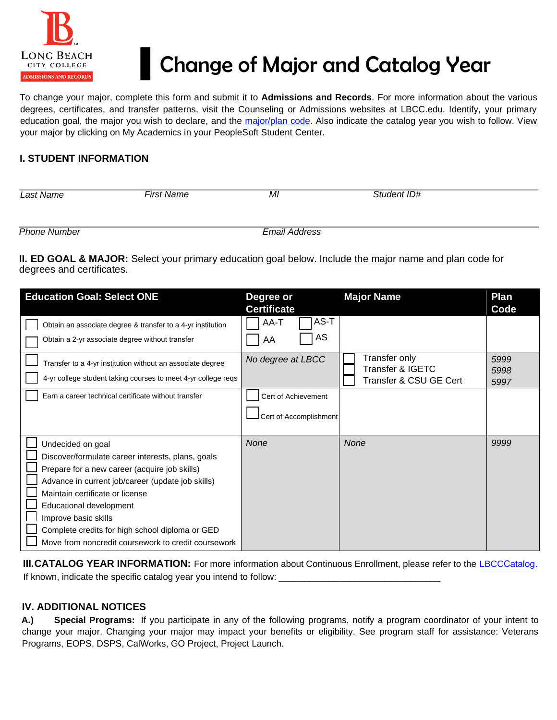

## ▌Change of Major and Catalog Year

To change your major, complete this form and submit it to **Admissions and Records**. For more information about the various degrees, certificates, and transfer patterns, visit the Counseling or Admissions websites at LBCC.edu. Identify, your primary education goal, the major you wish to declare, and the [major/plan code.](https://www.lbcc.edu/pod/major-plan-codes-college-catalog) Also indicate the catalog year you wish to follow. View your major by clicking on My Academics in your PeopleSoft Student Center.

## **I. STUDENT INFORMATION**

| Last Name           | First Name | MI                   | Student ID# |
|---------------------|------------|----------------------|-------------|
|                     |            |                      |             |
|                     |            |                      |             |
| <b>Phone Number</b> |            | <b>Email Address</b> |             |

**II. ED GOAL & MAJOR:** Select your primary education goal below. Include the major name and plan code for degrees and certificates.

| <b>Education Goal: Select ONE</b>                                                                                                                                                                                                                                                                                                                                            | Degree or<br><b>Certificate</b>               | <b>Major Name</b>                                           | Plan<br>Code         |
|------------------------------------------------------------------------------------------------------------------------------------------------------------------------------------------------------------------------------------------------------------------------------------------------------------------------------------------------------------------------------|-----------------------------------------------|-------------------------------------------------------------|----------------------|
| Obtain an associate degree & transfer to a 4-yr institution<br>Obtain a 2-yr associate degree without transfer                                                                                                                                                                                                                                                               | AS-T<br>AA-T<br>AS<br>AA                      |                                                             |                      |
| Transfer to a 4-yr institution without an associate degree<br>4-yr college student taking courses to meet 4-yr college reqs                                                                                                                                                                                                                                                  | No degree at LBCC                             | Transfer only<br>Transfer & IGETC<br>Transfer & CSU GE Cert | 5999<br>5998<br>5997 |
| Earn a career technical certificate without transfer                                                                                                                                                                                                                                                                                                                         | Cert of Achievement<br>Cert of Accomplishment |                                                             |                      |
| Undecided on goal<br>Discover/formulate career interests, plans, goals<br>Prepare for a new career (acquire job skills)<br>Advance in current job/career (update job skills)<br>Maintain certificate or license<br>Educational development<br>Improve basic skills<br>Complete credits for high school diploma or GED<br>Move from noncredit coursework to credit coursework | None                                          | <b>None</b>                                                 | 9999                 |

**[III.CATALO](http://www.lbcc.edu/catalog/)G YEAR INFORMATION:** For more information about Continuous Enrollment, please refer to the LBCC[Catalog.](http://www.lbcc.edu/catalog/) If known, indicate the specific catalog year you intend to follow: \_\_\_\_\_\_\_\_\_\_\_\_\_\_\_\_\_\_\_\_\_\_\_\_\_\_\_\_\_\_\_\_

## **IV. ADDITIONAL NOTICES**

**A.) Special Programs:** If you participate in any of the following programs, notify a program coordinator of your intent to change your major. Changing your major may impact your benefits or eligibility. See program staff for assistance: Veterans Programs, EOPS, DSPS, CalWorks, GO Project, Project Launch.